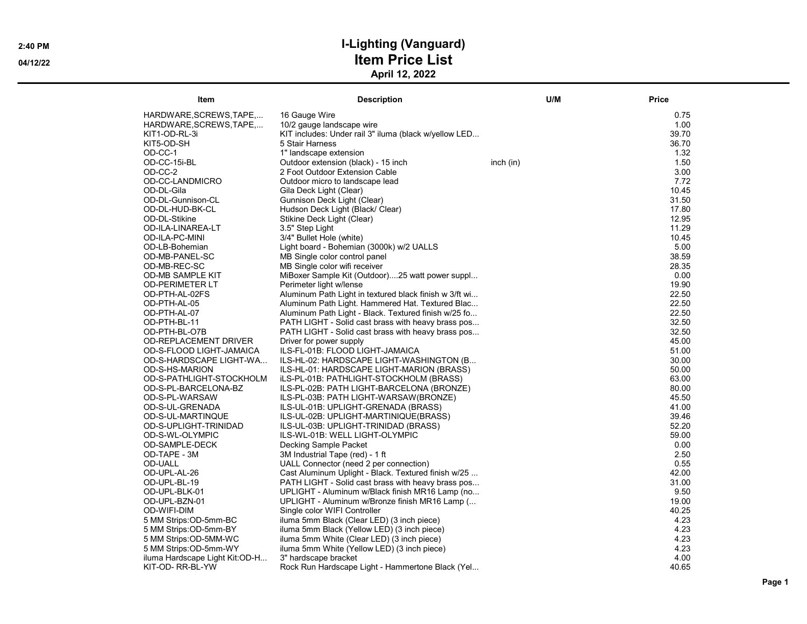| Item                           | <b>Description</b>                                     | U/M       | <b>Price</b> |
|--------------------------------|--------------------------------------------------------|-----------|--------------|
| HARDWARE, SCREWS, TAPE,        | 16 Gauge Wire                                          |           | 0.75         |
| HARDWARE, SCREWS, TAPE,        | 10/2 gauge landscape wire                              |           | 1.00         |
| KIT1-OD-RL-3i                  | KIT includes: Under rail 3" iluma (black w/yellow LED  |           | 39.70        |
| KIT5-OD-SH                     | 5 Stair Harness                                        |           | 36.70        |
| OD-CC-1                        | 1" landscape extension                                 |           | 1.32         |
| OD-CC-15i-BL                   | Outdoor extension (black) - 15 inch                    | inch (in) | 1.50         |
| OD-CC-2                        | 2 Foot Outdoor Extension Cable                         |           | 3.00         |
| OD-CC-LANDMICRO                | Outdoor micro to landscape lead                        |           | 7.72         |
| OD-DL-Gila                     | Gila Deck Light (Clear)                                |           | 10.45        |
| OD-DL-Gunnison-CL              | Gunnison Deck Light (Clear)                            |           | 31.50        |
| OD-DL-HUD-BK-CL                | Hudson Deck Light (Black/ Clear)                       |           | 17.80        |
| OD-DL-Stikine                  | Stikine Deck Light (Clear)                             |           | 12.95        |
| OD-ILA-LINAREA-LT              | 3.5" Step Light                                        |           | 11.29        |
| OD-ILA-PC-MINI                 | 3/4" Bullet Hole (white)                               |           | 10.45        |
| OD-LB-Bohemian                 | Light board - Bohemian (3000k) w/2 UALLS               |           | 5.00         |
| OD-MB-PANEL-SC                 | MB Single color control panel                          |           | 38.59        |
| OD-MB-REC-SC                   | MB Single color wifi receiver                          |           | 28.35        |
| <b>OD-MB SAMPLE KIT</b>        | MiBoxer Sample Kit (Outdoor)25 watt power suppl        |           | 0.00         |
| <b>OD-PERIMETER LT</b>         | Perimeter light w/lense                                |           | 19.90        |
| OD-PTH-AL-02FS                 | Aluminum Path Light in textured black finish w 3/ft wi |           | 22.50        |
| OD-PTH-AL-05                   | Aluminum Path Light. Hammered Hat. Textured Blac       |           | 22.50        |
| OD-PTH-AL-07                   | Aluminum Path Light - Black. Textured finish w/25 fo   |           | 22.50        |
| OD-PTH-BL-11                   | PATH LIGHT - Solid cast brass with heavy brass pos     |           | 32.50        |
| OD-PTH-BL-O7B                  | PATH LIGHT - Solid cast brass with heavy brass pos     |           | 32.50        |
| <b>OD-REPLACEMENT DRIVER</b>   | Driver for power supply                                |           | 45.00        |
| OD-S-FLOOD LIGHT-JAMAICA       | ILS-FL-01B: FLOOD LIGHT-JAMAICA                        |           | 51.00        |
| OD-S-HARDSCAPE LIGHT-WA        | ILS-HL-02: HARDSCAPE LIGHT-WASHINGTON (B               |           | 30.00        |
| OD-S-HS-MARION                 | ILS-HL-01: HARDSCAPE LIGHT-MARION (BRASS)              |           | 50.00        |
| OD-S-PATHLIGHT-STOCKHOLM       | iLS-PL-01B: PATHLIGHT-STOCKHOLM (BRASS)                |           | 63.00        |
| OD-S-PL-BARCELONA-BZ           | ILS-PL-02B: PATH LIGHT-BARCELONA (BRONZE)              |           | 80.00        |
| OD-S-PL-WARSAW                 | ILS-PL-03B: PATH LIGHT-WARSAW(BRONZE)                  |           | 45.50        |
| OD-S-UL-GRENADA                | ILS-UL-01B: UPLIGHT-GRENADA (BRASS)                    |           | 41.00        |
| OD-S-UL-MARTINQUE              | ILS-UL-02B: UPLIGHT-MARTINIQUE(BRASS)                  |           | 39.46        |
| OD-S-UPLIGHT-TRINIDAD          | ILS-UL-03B: UPLIGHT-TRINIDAD (BRASS)                   |           | 52.20        |
| OD-S-WL-OLYMPIC                | ILS-WL-01B: WELL LIGHT-OLYMPIC                         |           | 59.00        |
| OD-SAMPLE-DECK                 | Decking Sample Packet                                  |           | 0.00         |
| OD-TAPE - 3M                   | 3M Industrial Tape (red) - 1 ft                        |           | 2.50         |
| <b>OD-UALL</b>                 | UALL Connector (need 2 per connection)                 |           | 0.55         |
| OD-UPL-AL-26                   | Cast Aluminum Uplight - Black. Textured finish w/25    |           | 42.00        |
| OD-UPL-BL-19                   | PATH LIGHT - Solid cast brass with heavy brass pos     |           | 31.00        |
| OD-UPL-BLK-01                  | UPLIGHT - Aluminum w/Black finish MR16 Lamp (no        |           | 9.50         |
| OD-UPL-BZN-01                  | UPLIGHT - Aluminum w/Bronze finish MR16 Lamp (         |           | 19.00        |
| OD-WIFI-DIM                    | Single color WIFI Controller                           |           | 40.25        |
| 5 MM Strips:OD-5mm-BC          | iluma 5mm Black (Clear LED) (3 inch piece)             |           | 4.23         |
| 5 MM Strips:OD-5mm-BY          | iluma 5mm Black (Yellow LED) (3 inch piece)            |           | 4.23         |
| 5 MM Strips:OD-5MM-WC          | iluma 5mm White (Clear LED) (3 inch piece)             |           | 4.23         |
| 5 MM Strips:OD-5mm-WY          | iluma 5mm White (Yellow LED) (3 inch piece)            |           | 4.23         |
| iluma Hardscape Light Kit:OD-H | 3" hardscape bracket                                   |           | 4.00         |
| KIT-OD-RR-BL-YW                | Rock Run Hardscape Light - Hammertone Black (Yel       |           | 40.65        |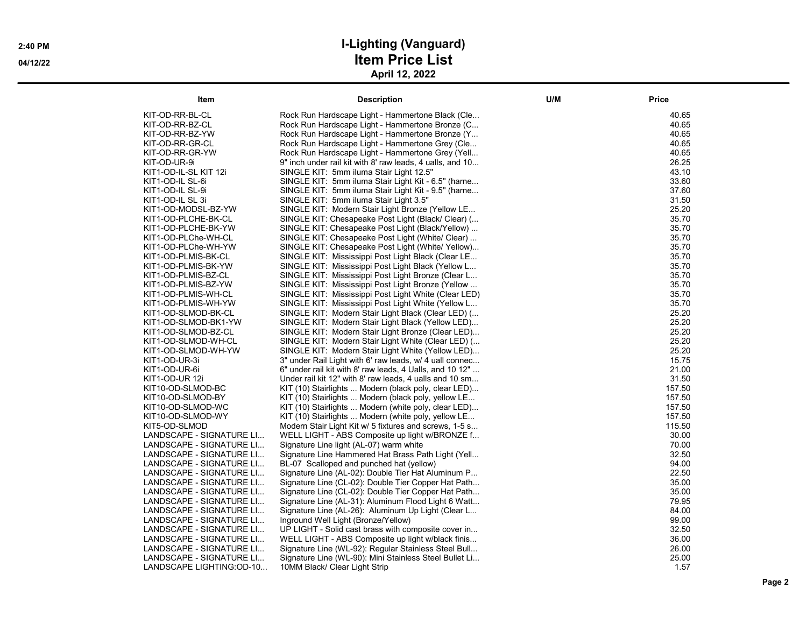| Item                                                 | <b>Description</b>                                                                         | U/M | Price          |
|------------------------------------------------------|--------------------------------------------------------------------------------------------|-----|----------------|
| KIT-OD-RR-BL-CL                                      | Rock Run Hardscape Light - Hammertone Black (Cle                                           |     | 40.65          |
| KIT-OD-RR-BZ-CL                                      | Rock Run Hardscape Light - Hammertone Bronze (C                                            |     | 40.65          |
| KIT-OD-RR-BZ-YW                                      | Rock Run Hardscape Light - Hammertone Bronze (Y                                            |     | 40.65          |
| KIT-OD-RR-GR-CL                                      | Rock Run Hardscape Light - Hammertone Grey (Cle                                            |     | 40.65          |
| KIT-OD-RR-GR-YW                                      | Rock Run Hardscape Light - Hammertone Grey (Yell                                           |     | 40.65          |
| KIT-OD-UR-9i                                         | 9" inch under rail kit with 8' raw leads, 4 ualls, and 10                                  |     | 26.25          |
| KIT1-OD-IL-SL KIT 12i                                | SINGLE KIT: 5mm iluma Stair Light 12.5"                                                    |     | 43.10          |
| KIT1-OD-IL SL-6i                                     | SINGLE KIT: 5mm iluma Stair Light Kit - 6.5" (harne                                        |     | 33.60          |
| KIT1-OD-IL SL-9i                                     | SINGLE KIT: 5mm iluma Stair Light Kit - 9.5" (harne                                        |     | 37.60          |
| KIT1-OD-IL SL 3i                                     | SINGLE KIT: 5mm iluma Stair Light 3.5"                                                     |     | 31.50          |
| KIT1-OD-MODSL-BZ-YW                                  | SINGLE KIT: Modern Stair Light Bronze (Yellow LE                                           |     | 25.20          |
| KIT1-OD-PLCHE-BK-CL                                  | SINGLE KIT: Chesapeake Post Light (Black/ Clear) (                                         |     | 35.70          |
| KIT1-OD-PLCHE-BK-YW                                  | SINGLE KIT: Chesapeake Post Light (Black/Yellow)                                           |     | 35.70          |
| KIT1-OD-PLChe-WH-CL                                  | SINGLE KIT: Chesapeake Post Light (White/ Clear)                                           |     | 35.70          |
| KIT1-OD-PLChe-WH-YW                                  | SINGLE KIT: Chesapeake Post Light (White/ Yellow)                                          |     | 35.70          |
| KIT1-OD-PLMIS-BK-CL                                  | SINGLE KIT: Mississippi Post Light Black (Clear LE                                         |     | 35.70          |
| KIT1-OD-PLMIS-BK-YW                                  | SINGLE KIT: Mississippi Post Light Black (Yellow L                                         |     | 35.70          |
| KIT1-OD-PLMIS-BZ-CL                                  | SINGLE KIT: Mississippi Post Light Bronze (Clear L                                         |     | 35.70          |
| KIT1-OD-PLMIS-BZ-YW                                  | SINGLE KIT: Mississippi Post Light Bronze (Yellow                                          |     | 35.70          |
| KIT1-OD-PLMIS-WH-CL                                  | SINGLE KIT: Mississippi Post Light White (Clear LED)                                       |     | 35.70          |
| KIT1-OD-PLMIS-WH-YW                                  | SINGLE KIT: Mississippi Post Light White (Yellow L                                         |     | 35.70          |
| KIT1-OD-SLMOD-BK-CL                                  | SINGLE KIT: Modern Stair Light Black (Clear LED) (                                         |     | 25.20          |
| KIT1-OD-SLMOD-BK1-YW                                 | SINGLE KIT: Modern Stair Light Black (Yellow LED)                                          |     | 25.20          |
| KIT1-OD-SLMOD-BZ-CL                                  | SINGLE KIT: Modern Stair Light Bronze (Clear LED)                                          |     | 25.20          |
| KIT1-OD-SLMOD-WH-CL                                  | SINGLE KIT: Modern Stair Light White (Clear LED) (                                         |     | 25.20          |
| KIT1-OD-SLMOD-WH-YW                                  | SINGLE KIT: Modern Stair Light White (Yellow LED)                                          |     | 25.20          |
| KIT1-OD-UR-3i                                        | 3" under Rail Light with 6' raw leads, w/ 4 uall connec                                    |     | 15.75          |
| KIT1-OD-UR-6i                                        | 6" under rail kit with 8' raw leads, 4 Ualls, and 10 12"                                   |     | 21.00          |
| KIT1-OD-UR 12i                                       | Under rail kit 12" with 8' raw leads, 4 ualls and 10 sm                                    |     | 31.50          |
| KIT10-OD-SLMOD-BC                                    | KIT (10) Stairlights  Modern (black poly, clear LED)                                       |     | 157.50         |
| KIT10-OD-SLMOD-BY                                    | KIT (10) Stairlights  Modern (black poly, yellow LE                                        |     | 157.50         |
| KIT10-OD-SLMOD-WC                                    | KIT (10) Stairlights  Modern (white poly, clear LED)                                       |     | 157.50         |
| KIT10-OD-SLMOD-WY                                    | KIT (10) Stairlights  Modern (white poly, yellow LE                                        |     | 157.50         |
| KIT5-OD-SLMOD                                        | Modern Stair Light Kit w/ 5 fixtures and screws, 1-5 s                                     |     | 115.50         |
| LANDSCAPE - SIGNATURE LI                             | WELL LIGHT - ABS Composite up light w/BRONZE f                                             |     | 30.00          |
| LANDSCAPE - SIGNATURE LI                             | Signature Line light (AL-07) warm white                                                    |     | 70.00          |
| LANDSCAPE - SIGNATURE LI                             | Signature Line Hammered Hat Brass Path Light (Yell                                         |     | 32.50          |
| LANDSCAPE - SIGNATURE LI                             | BL-07 Scalloped and punched hat (yellow)                                                   |     | 94.00          |
| LANDSCAPE - SIGNATURE LI                             | Signature Line (AL-02): Double Tier Hat Aluminum P                                         |     | 22.50          |
| LANDSCAPE - SIGNATURE LI                             | Signature Line (CL-02): Double Tier Copper Hat Path                                        |     | 35.00          |
| LANDSCAPE - SIGNATURE LI                             | Signature Line (CL-02): Double Tier Copper Hat Path                                        |     | 35.00<br>79.95 |
| LANDSCAPE - SIGNATURE LI                             | Signature Line (AL-31): Aluminum Flood Light 6 Watt                                        |     | 84.00          |
| LANDSCAPE - SIGNATURE LI                             | Signature Line (AL-26): Aluminum Up Light (Clear L                                         |     | 99.00          |
| LANDSCAPE - SIGNATURE LI<br>LANDSCAPE - SIGNATURE LI | Inground Well Light (Bronze/Yellow)<br>UP LIGHT - Solid cast brass with composite cover in |     | 32.50          |
| LANDSCAPE - SIGNATURE LI                             | WELL LIGHT - ABS Composite up light w/black finis                                          |     | 36.00          |
| LANDSCAPE - SIGNATURE LI                             | Signature Line (WL-92): Regular Stainless Steel Bull                                       |     | 26.00          |
| LANDSCAPE - SIGNATURE LI                             | Signature Line (WL-90): Mini Stainless Steel Bullet Li                                     |     | 25.00          |
| LANDSCAPE LIGHTING:OD-10                             | 10MM Black/ Clear Light Strip                                                              |     | 1.57           |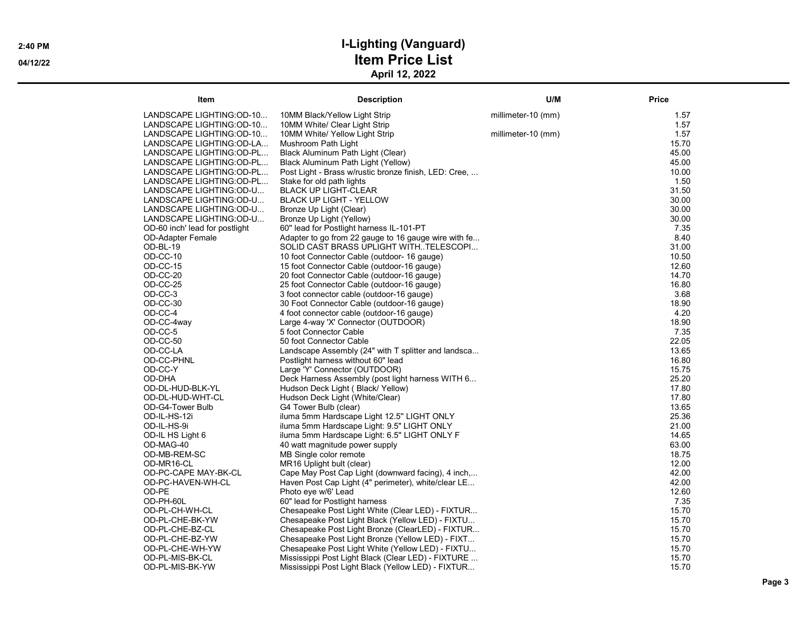| Item                           | <b>Description</b>                                    | U/M                | Price |
|--------------------------------|-------------------------------------------------------|--------------------|-------|
| LANDSCAPE LIGHTING:OD-10       | 10MM Black/Yellow Light Strip                         | millimeter-10 (mm) | 1.57  |
| LANDSCAPE LIGHTING:OD-10       | 10MM White/ Clear Light Strip                         |                    | 1.57  |
| LANDSCAPE LIGHTING:OD-10       | 10MM White/ Yellow Light Strip                        | millimeter-10 (mm) | 1.57  |
| LANDSCAPE LIGHTING:OD-LA       | Mushroom Path Light                                   |                    | 15.70 |
| LANDSCAPE LIGHTING:OD-PL       | Black Aluminum Path Light (Clear)                     |                    | 45.00 |
| LANDSCAPE LIGHTING:OD-PL       | Black Aluminum Path Light (Yellow)                    |                    | 45.00 |
| LANDSCAPE LIGHTING:OD-PL       | Post Light - Brass w/rustic bronze finish, LED: Cree, |                    | 10.00 |
| LANDSCAPE LIGHTING:OD-PL       | Stake for old path lights                             |                    | 1.50  |
| LANDSCAPE LIGHTING:OD-U        | <b>BLACK UP LIGHT-CLEAR</b>                           |                    | 31.50 |
| LANDSCAPE LIGHTING:OD-U        | <b>BLACK UP LIGHT - YELLOW</b>                        |                    | 30.00 |
| LANDSCAPE LIGHTING:OD-U        | Bronze Up Light (Clear)                               |                    | 30.00 |
| LANDSCAPE LIGHTING:OD-U        | Bronze Up Light (Yellow)                              |                    | 30.00 |
| OD-60 inch' lead for postlight | 60" lead for Postlight harness IL-101-PT              |                    | 7.35  |
| <b>OD-Adapter Female</b>       | Adapter to go from 22 gauge to 16 gauge wire with fe  |                    | 8.40  |
| OD-BL-19                       | SOLID CAST BRASS UPLIGHT WITH. TELESCOPI              |                    | 31.00 |
| OD-CC-10                       | 10 foot Connector Cable (outdoor- 16 gauge)           |                    | 10.50 |
| OD-CC-15                       | 15 foot Connector Cable (outdoor-16 gauge)            |                    | 12.60 |
| OD-CC-20                       | 20 foot Connector Cable (outdoor-16 gauge)            |                    | 14.70 |
| OD-CC-25                       | 25 foot Connector Cable (outdoor-16 gauge)            |                    | 16.80 |
| OD-CC-3                        | 3 foot connector cable (outdoor-16 gauge)             |                    | 3.68  |
| OD-CC-30                       | 30 Foot Connector Cable (outdoor-16 gauge)            |                    | 18.90 |
| OD-CC-4                        | 4 foot connector cable (outdoor-16 gauge)             |                    | 4.20  |
| OD-CC-4way                     | Large 4-way 'X' Connector (OUTDOOR)                   |                    | 18.90 |
| OD-CC-5                        | 5 foot Connector Cable                                |                    | 7.35  |
| OD-CC-50                       | 50 foot Connector Cable                               |                    | 22.05 |
| OD-CC-LA                       | Landscape Assembly (24" with T splitter and landsca   |                    | 13.65 |
| OD-CC-PHNL                     | Postlight harness without 60" lead                    |                    | 16.80 |
| OD-CC-Y                        | Large 'Y' Connector (OUTDOOR)                         |                    | 15.75 |
| OD-DHA                         | Deck Harness Assembly (post light harness WITH 6      |                    | 25.20 |
| OD-DL-HUD-BLK-YL               | Hudson Deck Light (Black/Yellow)                      |                    | 17.80 |
| OD-DL-HUD-WHT-CL               | Hudson Deck Light (White/Clear)                       |                    | 17.80 |
| OD-G4-Tower Bulb               | G4 Tower Bulb (clear)                                 |                    | 13.65 |
| OD-IL-HS-12i                   | iluma 5mm Hardscape Light 12.5" LIGHT ONLY            |                    | 25.36 |
| OD-IL-HS-9i                    | iluma 5mm Hardscape Light: 9.5" LIGHT ONLY            |                    | 21.00 |
| OD-IL HS Light 6               | iluma 5mm Hardscape Light: 6.5" LIGHT ONLY F          |                    | 14.65 |
| OD-MAG-40                      | 40 watt magnitude power supply                        |                    | 63.00 |
| OD-MB-REM-SC                   | MB Single color remote                                |                    | 18.75 |
| OD-MR16-CL                     | MR16 Uplight bult (clear)                             |                    | 12.00 |
| OD-PC-CAPE MAY-BK-CL           | Cape May Post Cap Light (downward facing), 4 inch,    |                    | 42.00 |
| OD-PC-HAVEN-WH-CL              | Haven Post Cap Light (4" perimeter), white/clear LE   |                    | 42.00 |
| OD-PE                          | Photo eye w/6' Lead                                   |                    | 12.60 |
| OD-PH-60L                      | 60" lead for Postlight harness                        |                    | 7.35  |
| OD-PL-CH-WH-CL                 | Chesapeake Post Light White (Clear LED) - FIXTUR      |                    | 15.70 |
| OD-PL-CHE-BK-YW                | Chesapeake Post Light Black (Yellow LED) - FIXTU      |                    | 15.70 |
| OD-PL-CHE-BZ-CL                | Chesapeake Post Light Bronze (ClearLED) - FIXTUR      |                    | 15.70 |
| OD-PL-CHE-BZ-YW                | Chesapeake Post Light Bronze (Yellow LED) - FIXT      |                    | 15.70 |
| OD-PL-CHE-WH-YW                | Chesapeake Post Light White (Yellow LED) - FIXTU      |                    | 15.70 |
| OD-PL-MIS-BK-CL                | Mississippi Post Light Black (Clear LED) - FIXTURE    |                    | 15.70 |
| OD-PL-MIS-BK-YW                | Mississippi Post Light Black (Yellow LED) - FIXTUR    |                    | 15.70 |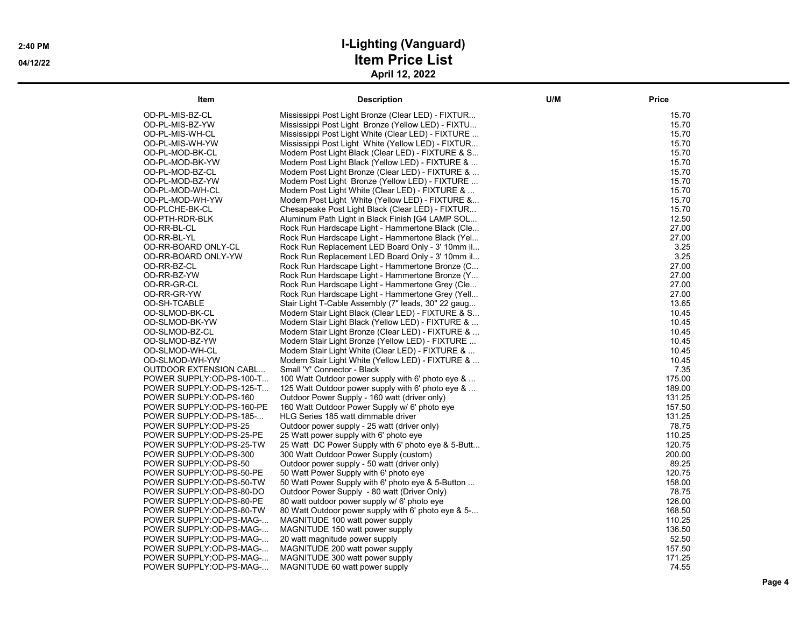| Item                      | <b>Description</b>                                  | U/M | <b>Price</b> |
|---------------------------|-----------------------------------------------------|-----|--------------|
| OD-PL-MIS-BZ-CL           | Mississippi Post Light Bronze (Clear LED) - FIXTUR  |     | 15.70        |
| OD-PL-MIS-BZ-YW           | Mississippi Post Light Bronze (Yellow LED) - FIXTU  |     | 15.70        |
| OD-PL-MIS-WH-CL           | Mississippi Post Light White (Clear LED) - FIXTURE  |     | 15.70        |
| OD-PL-MIS-WH-YW           | Mississippi Post Light White (Yellow LED) - FIXTUR  |     | 15.70        |
| OD-PL-MOD-BK-CL           | Modern Post Light Black (Clear LED) - FIXTURE & S   |     | 15.70        |
| OD-PL-MOD-BK-YW           | Modern Post Light Black (Yellow LED) - FIXTURE &    |     | 15.70        |
| OD-PL-MOD-BZ-CL           | Modern Post Light Bronze (Clear LED) - FIXTURE &    |     | 15.70        |
| OD-PL-MOD-BZ-YW           | Modern Post Light Bronze (Yellow LED) - FIXTURE     |     | 15.70        |
| OD-PL-MOD-WH-CL           | Modern Post Light White (Clear LED) - FIXTURE &     |     | 15.70        |
| OD-PL-MOD-WH-YW           | Modern Post Light White (Yellow LED) - FIXTURE &    |     | 15.70        |
| OD-PLCHE-BK-CL            | Chesapeake Post Light Black (Clear LED) - FIXTUR    |     | 15.70        |
| OD-PTH-RDR-BLK            | Aluminum Path Light in Black Finish [G4 LAMP SOL    |     | 12.50        |
| OD-RR-BL-CL               | Rock Run Hardscape Light - Hammertone Black (Cle    |     | 27.00        |
| OD-RR-BL-YL               | Rock Run Hardscape Light - Hammertone Black (Yel    |     | 27.00        |
| OD-RR-BOARD ONLY-CL       | Rock Run Replacement LED Board Only - 3' 10mm il    |     | 3.25         |
| OD-RR-BOARD ONLY-YW       | Rock Run Replacement LED Board Only - 3' 10mm il    |     | 3.25         |
| OD-RR-BZ-CL               | Rock Run Hardscape Light - Hammertone Bronze (C     |     | 27.00        |
| OD-RR-BZ-YW               | Rock Run Hardscape Light - Hammertone Bronze (Y     |     | 27.00        |
| OD-RR-GR-CL               | Rock Run Hardscape Light - Hammertone Grey (Cle     |     | 27.00        |
| OD-RR-GR-YW               | Rock Run Hardscape Light - Hammertone Grey (Yell    |     | 27.00        |
| OD-SH-TCABLE              | Stair Light T-Cable Assembly (7" leads, 30" 22 gaug |     | 13.65        |
| OD-SLMOD-BK-CL            | Modern Stair Light Black (Clear LED) - FIXTURE & S  |     | 10.45        |
| OD-SLMOD-BK-YW            | Modern Stair Light Black (Yellow LED) - FIXTURE &   |     | 10.45        |
| OD-SLMOD-BZ-CL            | Modern Stair Light Bronze (Clear LED) - FIXTURE &   |     | 10.45        |
| OD-SLMOD-BZ-YW            | Modern Stair Light Bronze (Yellow LED) - FIXTURE    |     | 10.45        |
| OD-SLMOD-WH-CL            | Modern Stair Light White (Clear LED) - FIXTURE &    |     | 10.45        |
| OD-SLMOD-WH-YW            | Modern Stair Light White (Yellow LED) - FIXTURE &   |     | 10.45        |
| OUTDOOR EXTENSION CABL    | Small 'Y' Connector - Black                         |     | 7.35         |
| POWER SUPPLY:OD-PS-100-T  | 100 Watt Outdoor power supply with 6' photo eye &   |     | 175.00       |
| POWER SUPPLY:OD-PS-125-T  | 125 Watt Outdoor power supply with 6' photo eye &   |     | 189.00       |
| POWER SUPPLY:OD-PS-160    | Outdoor Power Supply - 160 watt (driver only)       |     | 131.25       |
| POWER SUPPLY:OD-PS-160-PE | 160 Watt Outdoor Power Supply w/ 6' photo eye       |     | 157.50       |
| POWER SUPPLY:OD-PS-185-   | HLG Series 185 watt dimmable driver                 |     | 131.25       |
| POWER SUPPLY:OD-PS-25     | Outdoor power supply - 25 watt (driver only)        |     | 78.75        |
| POWER SUPPLY:OD-PS-25-PE  | 25 Watt power supply with 6' photo eye              |     | 110.25       |
| POWER SUPPLY:OD-PS-25-TW  | 25 Watt DC Power Supply with 6' photo eye & 5-Butt  |     | 120.75       |
| POWER SUPPLY:OD-PS-300    | 300 Watt Outdoor Power Supply (custom)              |     | 200.00       |
| POWER SUPPLY:OD-PS-50     | Outdoor power supply - 50 watt (driver only)        |     | 89.25        |
| POWER SUPPLY:OD-PS-50-PE  | 50 Watt Power Supply with 6' photo eye              |     | 120.75       |
| POWER SUPPLY:OD-PS-50-TW  | 50 Watt Power Supply with 6' photo eye & 5-Button   |     | 158.00       |
| POWER SUPPLY:OD-PS-80-DO  | Outdoor Power Supply - 80 watt (Driver Only)        |     | 78.75        |
| POWER SUPPLY:OD-PS-80-PE  | 80 watt outdoor power supply w/ 6' photo eye        |     | 126.00       |
| POWER SUPPLY:OD-PS-80-TW  | 80 Watt Outdoor power supply with 6' photo eye & 5- |     | 168.50       |
| POWER SUPPLY:OD-PS-MAG-   | MAGNITUDE 100 watt power supply                     |     | 110.25       |
| POWER SUPPLY:OD-PS-MAG-   | MAGNITUDE 150 watt power supply                     |     | 136.50       |
| POWER SUPPLY:OD-PS-MAG-   | 20 watt magnitude power supply                      |     | 52.50        |
| POWER SUPPLY:OD-PS-MAG-   | MAGNITUDE 200 watt power supply                     |     | 157.50       |
| POWER SUPPLY:OD-PS-MAG-   | MAGNITUDE 300 watt power supply                     |     | 171.25       |
| POWER SUPPLY:OD-PS-MAG-   | MAGNITUDE 60 watt power supply                      |     | 74.55        |